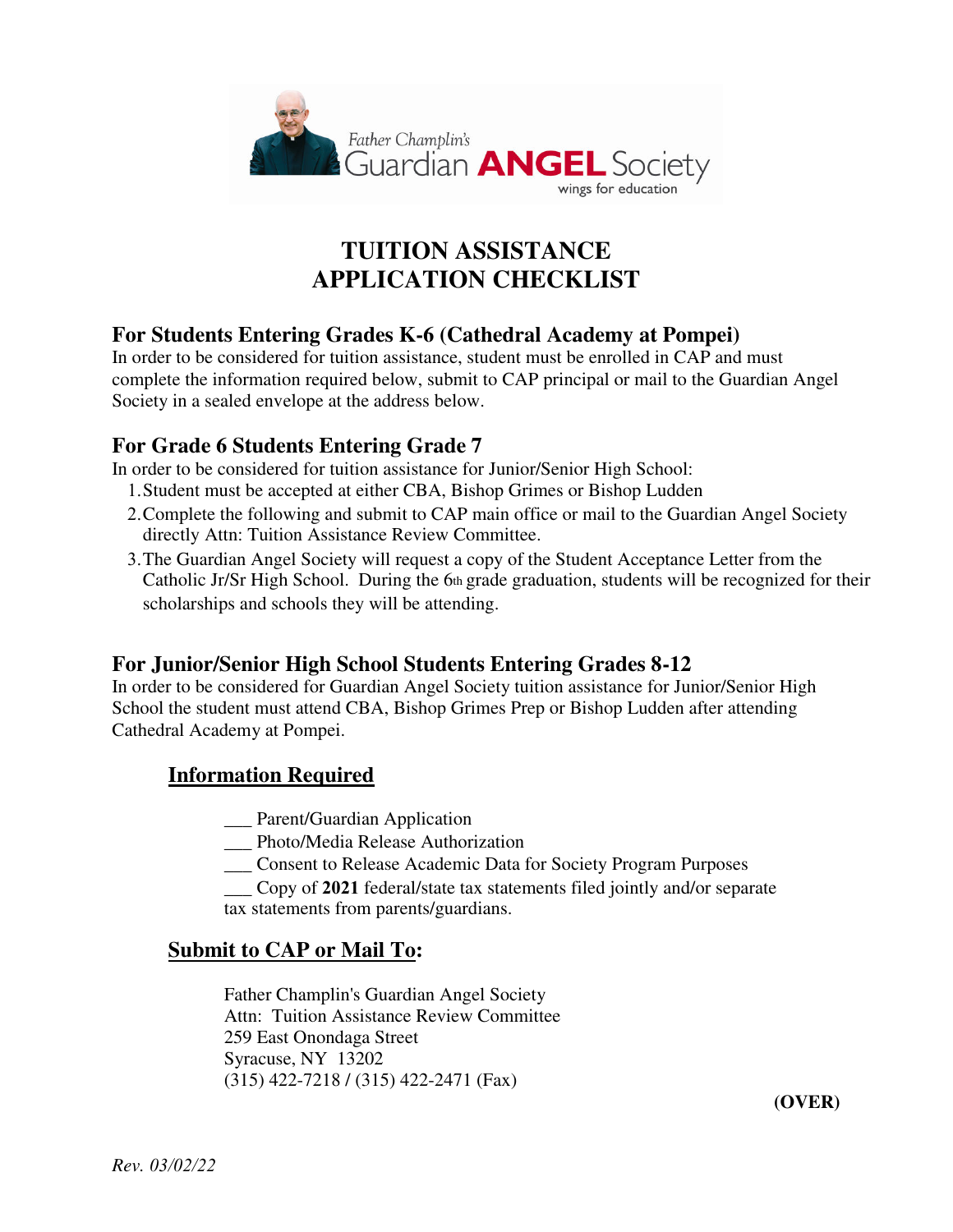

# **TUITION ASSISTANCE APPLICATION CHECKLIST**

### **For Students Entering Grades K-6 (Cathedral Academy at Pompei)**

In order to be considered for tuition assistance, student must be enrolled in CAP and must complete the information required below, submit to CAP principal or mail to the Guardian Angel Society in a sealed envelope at the address below.

### **For Grade 6 Students Entering Grade 7**

In order to be considered for tuition assistance for Junior/Senior High School:

- 1.Student must be accepted at either CBA, Bishop Grimes or Bishop Ludden
- 2.Complete the following and submit to CAP main office or mail to the Guardian Angel Society directly Attn: Tuition Assistance Review Committee.
- 3.The Guardian Angel Society will request a copy of the Student Acceptance Letter from the Catholic Jr/Sr High School. During the 6th grade graduation, students will be recognized for their scholarships and schools they will be attending.

### **For Junior/Senior High School Students Entering Grades 8-12**

In order to be considered for Guardian Angel Society tuition assistance for Junior/Senior High School the student must attend CBA, Bishop Grimes Prep or Bishop Ludden after attending Cathedral Academy at Pompei.

### **Information Required**

- \_\_\_ Parent/Guardian Application
- \_\_\_ Photo/Media Release Authorization
- \_\_\_ Consent to Release Academic Data for Society Program Purposes
- \_\_\_ Copy of **2021** federal/state tax statements filed jointly and/or separate

tax statements from parents/guardians.

#### **Submit to CAP or Mail To:**

Father Champlin's Guardian Angel Society Attn: Tuition Assistance Review Committee 259 East Onondaga Street Syracuse, NY 13202 (315) 422-7218 / (315) 422-2471 (Fax)

**(OVER)**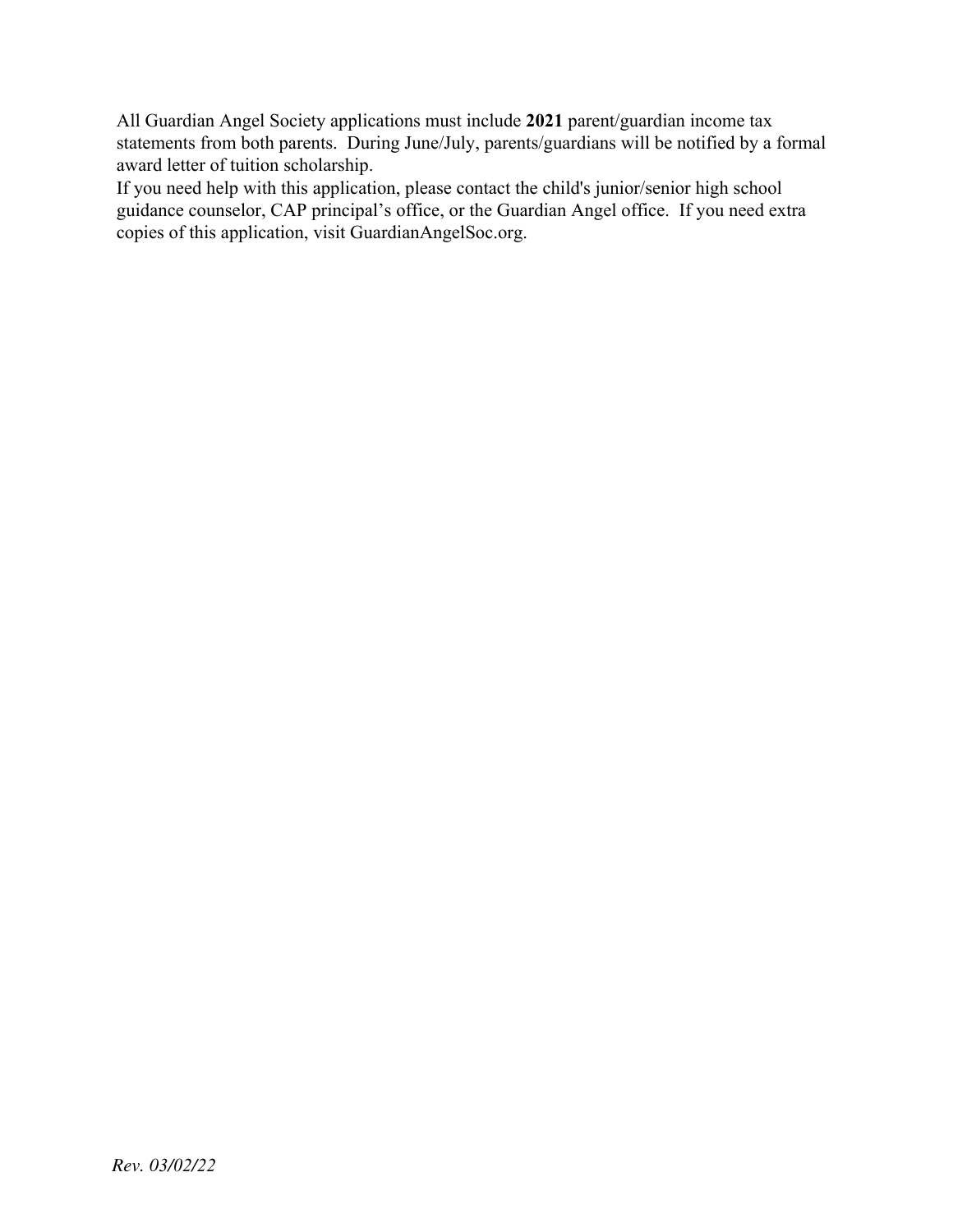All Guardian Angel Society applications must include **2021** parent/guardian income tax statements from both parents. During June/July, parents/guardians will be notified by a formal award letter of tuition scholarship.

If you need help with this application, please contact the child's junior/senior high school guidance counselor, CAP principal's office, or the Guardian Angel office. If you need extra copies of this application, visit GuardianAngelSoc.org.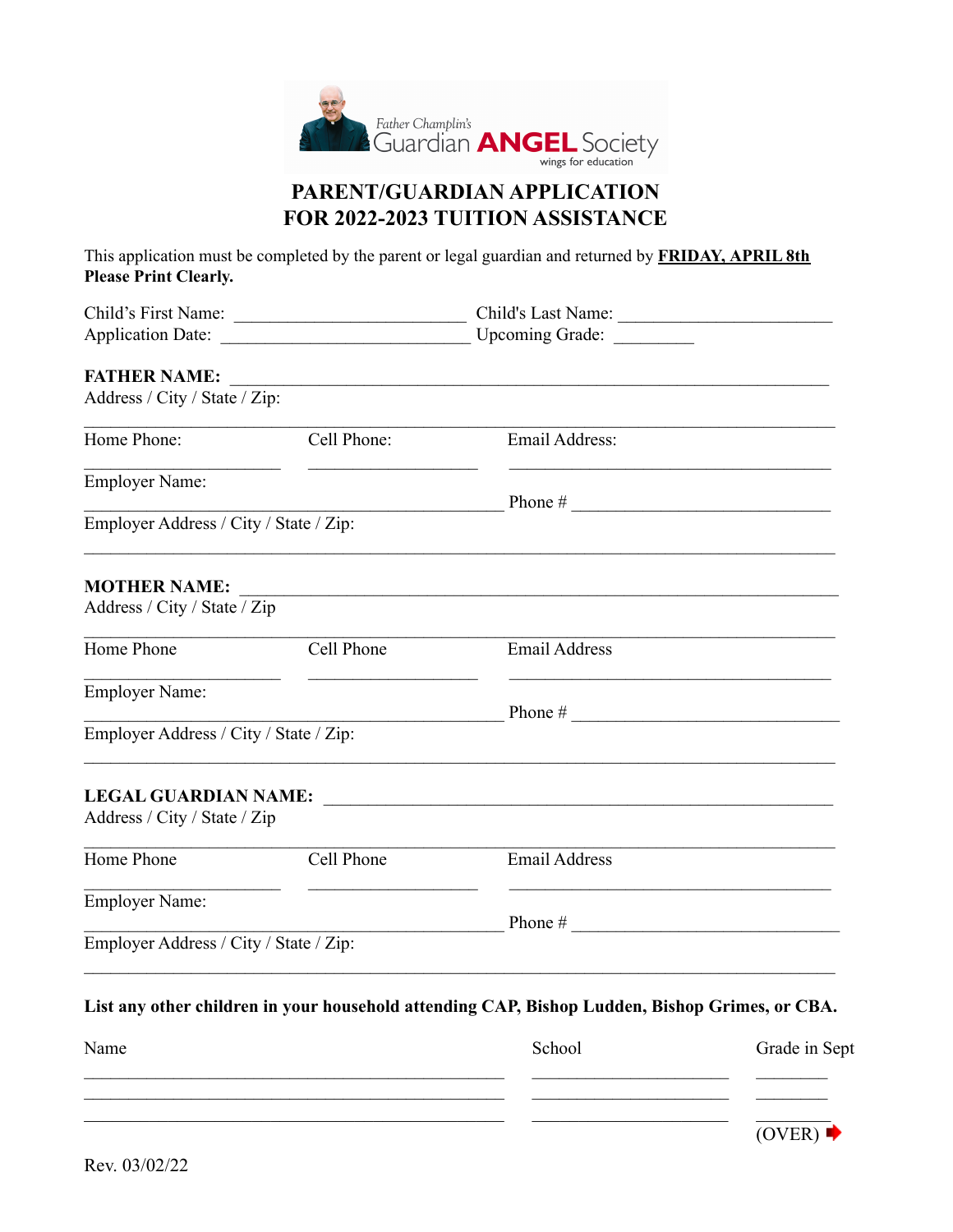

### PARENT/GUARDIAN APPLICATION FOR 2022-2023 TUITION ASSISTANCE

This application must be completed by the parent or legal guardian and returned by FRIDAY, APRIL 8th Please Print Clearly.

| Child's First Name:                    |                                                   | Child's Last Name:                                                                             |               |  |  |
|----------------------------------------|---------------------------------------------------|------------------------------------------------------------------------------------------------|---------------|--|--|
| <b>Application Date:</b>               | <u> 1989 - Johann Barbara, martxa alemaniar a</u> | Upcoming Grade: _________                                                                      |               |  |  |
| <b>FATHER NAME:</b>                    |                                                   |                                                                                                |               |  |  |
| Address / City / State / Zip:          |                                                   |                                                                                                |               |  |  |
| Home Phone:                            | Cell Phone:                                       | Email Address:                                                                                 |               |  |  |
| <b>Employer Name:</b>                  |                                                   |                                                                                                |               |  |  |
| Employer Address / City / State / Zip: |                                                   |                                                                                                |               |  |  |
| <b>MOTHER NAME:</b>                    |                                                   |                                                                                                |               |  |  |
| Address / City / State / Zip           |                                                   |                                                                                                |               |  |  |
| Home Phone                             | Cell Phone                                        | <b>Email Address</b>                                                                           |               |  |  |
| <b>Employer Name:</b>                  |                                                   |                                                                                                |               |  |  |
| Employer Address / City / State / Zip: |                                                   |                                                                                                |               |  |  |
| <b>LEGAL GUARDIAN NAME:</b>            |                                                   | <u> 1980 - Johann Stein, marwolaethau (b. 1980)</u>                                            |               |  |  |
| Address / City / State / Zip           |                                                   |                                                                                                |               |  |  |
| Home Phone                             | Cell Phone                                        | <b>Email Address</b>                                                                           |               |  |  |
| <b>Employer Name:</b>                  |                                                   | Phone $#$                                                                                      |               |  |  |
| Employer Address / City / State / Zip: |                                                   |                                                                                                |               |  |  |
|                                        |                                                   | List any other children in your household attending CAP, Bishop Ludden, Bishop Grimes, or CBA. |               |  |  |
| Name                                   |                                                   | School                                                                                         | Grade in Sept |  |  |

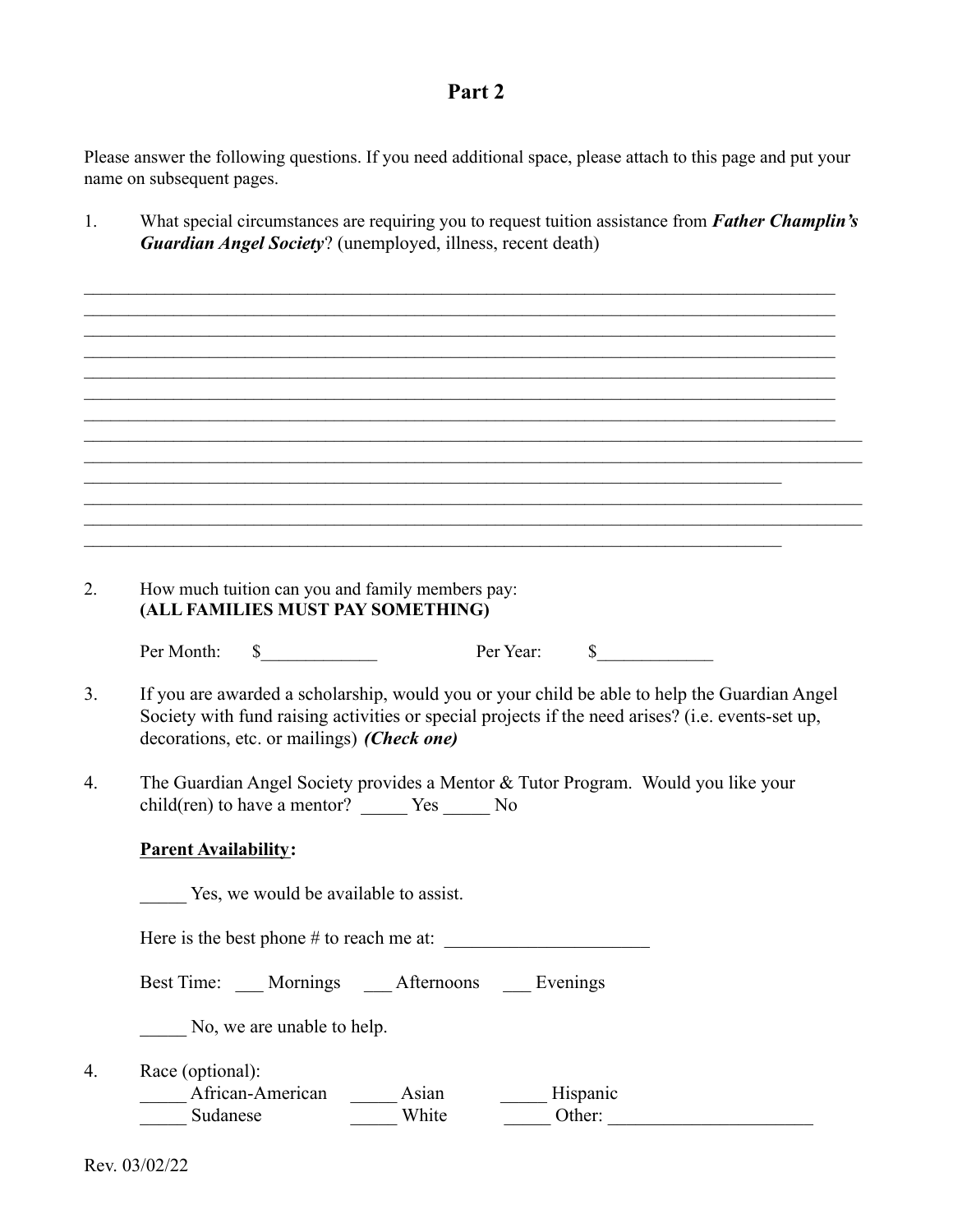### **Part 2**

Please answer the following questions. If you need additional space, please attach to this page and put your name on subsequent pages.

1. What special circumstances are requiring you to request tuition assistance from *Father Champlin's Guardian Angel Society*? (unemployed, illness, recent death)

 $\mathcal{L}_\mathcal{L} = \mathcal{L}_\mathcal{L} = \mathcal{L}_\mathcal{L} = \mathcal{L}_\mathcal{L} = \mathcal{L}_\mathcal{L} = \mathcal{L}_\mathcal{L} = \mathcal{L}_\mathcal{L} = \mathcal{L}_\mathcal{L} = \mathcal{L}_\mathcal{L} = \mathcal{L}_\mathcal{L} = \mathcal{L}_\mathcal{L} = \mathcal{L}_\mathcal{L} = \mathcal{L}_\mathcal{L} = \mathcal{L}_\mathcal{L} = \mathcal{L}_\mathcal{L} = \mathcal{L}_\mathcal{L} = \mathcal{L}_\mathcal{L}$  $\mathcal{L}_\mathcal{L} = \mathcal{L}_\mathcal{L} = \mathcal{L}_\mathcal{L} = \mathcal{L}_\mathcal{L} = \mathcal{L}_\mathcal{L} = \mathcal{L}_\mathcal{L} = \mathcal{L}_\mathcal{L} = \mathcal{L}_\mathcal{L} = \mathcal{L}_\mathcal{L} = \mathcal{L}_\mathcal{L} = \mathcal{L}_\mathcal{L} = \mathcal{L}_\mathcal{L} = \mathcal{L}_\mathcal{L} = \mathcal{L}_\mathcal{L} = \mathcal{L}_\mathcal{L} = \mathcal{L}_\mathcal{L} = \mathcal{L}_\mathcal{L}$ 

|                  |                                            | How much tuition can you and family members pay:<br>(ALL FAMILIES MUST PAY SOMETHING)                                                     |           |                      |  |
|------------------|--------------------------------------------|-------------------------------------------------------------------------------------------------------------------------------------------|-----------|----------------------|--|
| Per Month:       | $\frac{1}{2}$                              |                                                                                                                                           | Per Year: | $\frac{\sqrt{2}}{2}$ |  |
|                  |                                            | If you are awarded a scholarship, would you or your child be able to help the Guardian Angel                                              |           |                      |  |
|                  | decorations, etc. or mailings) (Check one) | Society with fund raising activities or special projects if the need arises? (i.e. events-set up,                                         |           |                      |  |
|                  |                                            | The Guardian Angel Society provides a Mentor & Tutor Program. Would you like your<br>child(ren) to have a mentor? ________ Yes _______ No |           |                      |  |
|                  | <b>Parent Availability:</b>                |                                                                                                                                           |           |                      |  |
|                  | Yes, we would be available to assist.      |                                                                                                                                           |           |                      |  |
|                  |                                            | Here is the best phone $#$ to reach me at:                                                                                                |           |                      |  |
|                  |                                            | Best Time: ___ Mornings ___ Afternoons ___ Evenings                                                                                       |           |                      |  |
|                  | No, we are unable to help.                 |                                                                                                                                           |           |                      |  |
| Race (optional): |                                            |                                                                                                                                           |           |                      |  |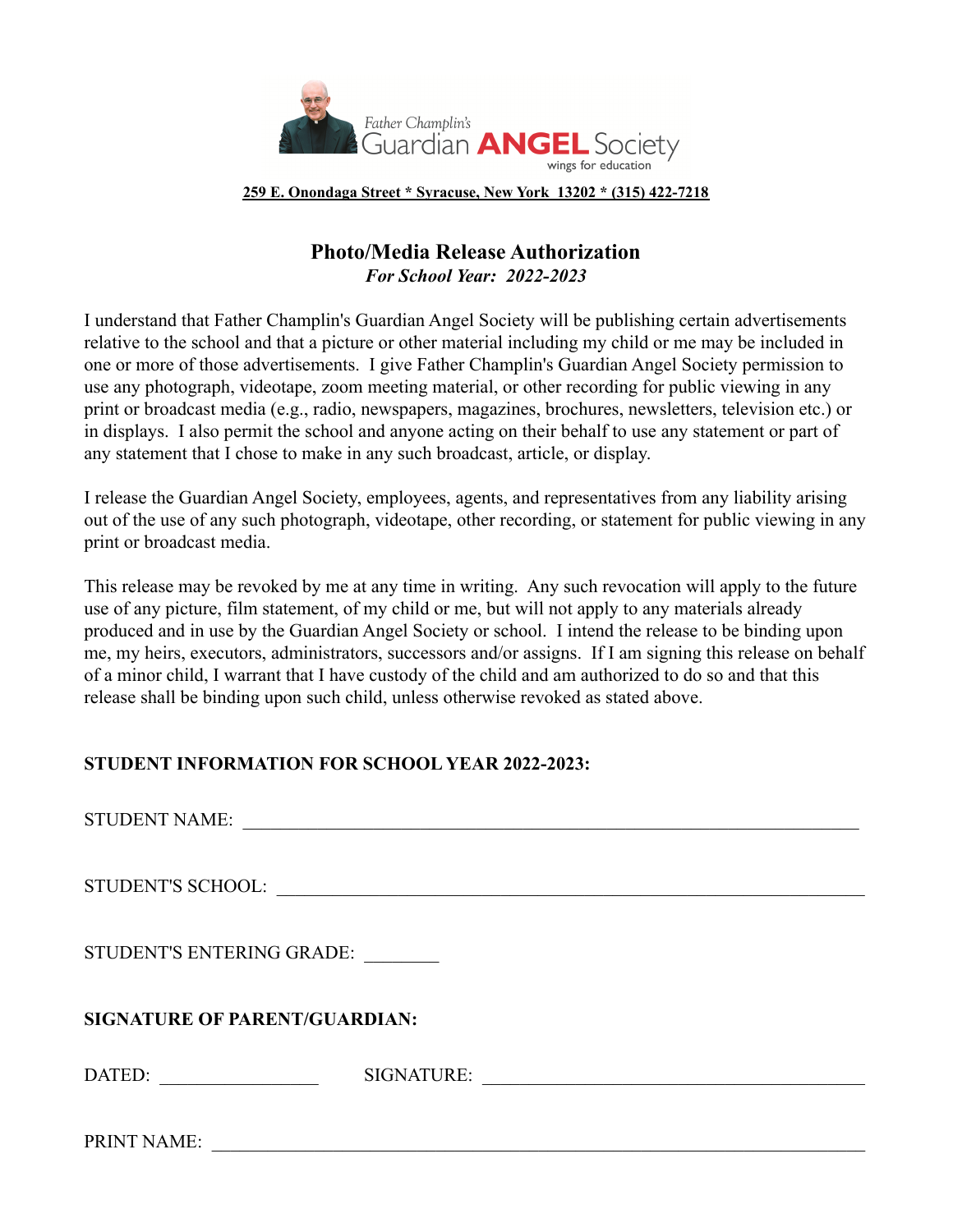

**259 E. Onondaga Street \* Syracuse, New York 13202 \* (315) 422-7218**

### **Photo/Media Release Authorization** *For School Year: 2022-2023*

I understand that Father Champlin's Guardian Angel Society will be publishing certain advertisements relative to the school and that a picture or other material including my child or me may be included in one or more of those advertisements. I give Father Champlin's Guardian Angel Society permission to use any photograph, videotape, zoom meeting material, or other recording for public viewing in any print or broadcast media (e.g., radio, newspapers, magazines, brochures, newsletters, television etc.) or in displays. I also permit the school and anyone acting on their behalf to use any statement or part of any statement that I chose to make in any such broadcast, article, or display.

I release the Guardian Angel Society, employees, agents, and representatives from any liability arising out of the use of any such photograph, videotape, other recording, or statement for public viewing in any print or broadcast media.

This release may be revoked by me at any time in writing. Any such revocation will apply to the future use of any picture, film statement, of my child or me, but will not apply to any materials already produced and in use by the Guardian Angel Society or school. I intend the release to be binding upon me, my heirs, executors, administrators, successors and/or assigns. If I am signing this release on behalf of a minor child, I warrant that I have custody of the child and am authorized to do so and that this release shall be binding upon such child, unless otherwise revoked as stated above.

#### **STUDENT INFORMATION FOR SCHOOL YEAR 2022-2023:**

| <b>STUDENT NAME:</b>                              | <u> 1980 - Jan Samuel Barbara, margaret e populari e populari e populari e populari e populari e populari e popu</u> |  |  |  |  |
|---------------------------------------------------|----------------------------------------------------------------------------------------------------------------------|--|--|--|--|
|                                                   |                                                                                                                      |  |  |  |  |
| STUDENT'S ENTERING GRADE:                         |                                                                                                                      |  |  |  |  |
| <b>SIGNATURE OF PARENT/GUARDIAN:</b>              |                                                                                                                      |  |  |  |  |
| DATED:<br><u> 1999 - Johann Barbara, martin a</u> | SIGNATURE:                                                                                                           |  |  |  |  |
| PRINT NAME:                                       |                                                                                                                      |  |  |  |  |